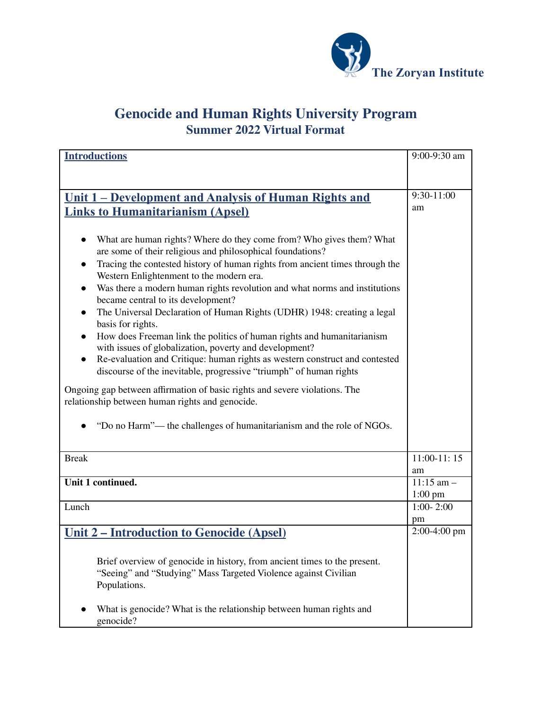

#### **Genocide and Human Rights University Program Summer 2022 Virtual Format**

| <b>Introductions</b>                                                                                                                                           | 9:00-9:30 am   |
|----------------------------------------------------------------------------------------------------------------------------------------------------------------|----------------|
|                                                                                                                                                                |                |
|                                                                                                                                                                |                |
| <u> Unit 1 – Development and Analysis of Human Rights and</u>                                                                                                  | 9:30-11:00     |
| <b>Links to Humanitarianism (Apsel)</b>                                                                                                                        | am             |
|                                                                                                                                                                |                |
| What are human rights? Where do they come from? Who gives them? What<br>are some of their religious and philosophical foundations?                             |                |
| Tracing the contested history of human rights from ancient times through the<br>$\bullet$<br>Western Enlightenment to the modern era.                          |                |
| Was there a modern human rights revolution and what norms and institutions<br>became central to its development?                                               |                |
| The Universal Declaration of Human Rights (UDHR) 1948: creating a legal<br>basis for rights.                                                                   |                |
| How does Freeman link the politics of human rights and humanitarianism<br>$\bullet$<br>with issues of globalization, poverty and development?                  |                |
| Re-evaluation and Critique: human rights as western construct and contested<br>$\bullet$<br>discourse of the inevitable, progressive "triumph" of human rights |                |
| Ongoing gap between affirmation of basic rights and severe violations. The<br>relationship between human rights and genocide.                                  |                |
| "Do no Harm"— the challenges of humanitarianism and the role of NGOs.                                                                                          |                |
| <b>Break</b>                                                                                                                                                   | $11:00-11:15$  |
|                                                                                                                                                                | am             |
| Unit 1 continued.                                                                                                                                              | $11:15$ am -   |
|                                                                                                                                                                | $1:00$ pm      |
| Lunch                                                                                                                                                          | $1:00 - 2:00$  |
|                                                                                                                                                                | pm             |
| <u><b>Unit 2 – Introduction to Genocide (Apsel)</b></u>                                                                                                        | $2:00-4:00$ pm |
|                                                                                                                                                                |                |
| Brief overview of genocide in history, from ancient times to the present.                                                                                      |                |
| "Seeing" and "Studying" Mass Targeted Violence against Civilian<br>Populations.                                                                                |                |
| What is genocide? What is the relationship between human rights and<br>genocide?                                                                               |                |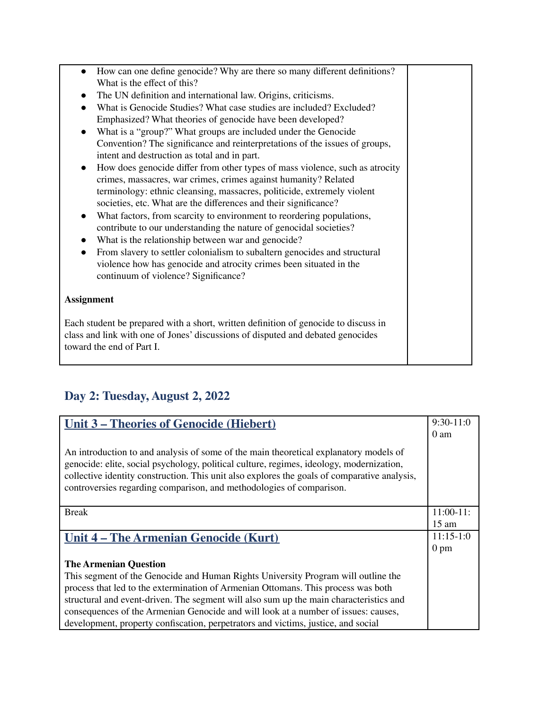| How can one define genocide? Why are there so many different definitions?                                                                       |  |
|-------------------------------------------------------------------------------------------------------------------------------------------------|--|
| What is the effect of this?                                                                                                                     |  |
| The UN definition and international law. Origins, criticisms.<br>$\bullet$                                                                      |  |
| What is Genocide Studies? What case studies are included? Excluded?                                                                             |  |
| Emphasized? What theories of genocide have been developed?                                                                                      |  |
| What is a "group?" What groups are included under the Genocide<br>$\bullet$                                                                     |  |
| Convention? The significance and reinterpretations of the issues of groups,<br>intent and destruction as total and in part.                     |  |
|                                                                                                                                                 |  |
| How does genocide differ from other types of mass violence, such as atrocity<br>crimes, massacres, war crimes, crimes against humanity? Related |  |
| terminology: ethnic cleansing, massacres, politicide, extremely violent                                                                         |  |
| societies, etc. What are the differences and their significance?                                                                                |  |
| What factors, from scarcity to environment to reordering populations,                                                                           |  |
| contribute to our understanding the nature of genocidal societies?                                                                              |  |
| What is the relationship between war and genocide?<br>$\bullet$                                                                                 |  |
| From slavery to settler colonialism to subaltern genocides and structural<br>$\bullet$                                                          |  |
| violence how has genocide and atrocity crimes been situated in the                                                                              |  |
| continuum of violence? Significance?                                                                                                            |  |
|                                                                                                                                                 |  |
| <b>Assignment</b>                                                                                                                               |  |
| Each student be prepared with a short, written definition of genocide to discuss in                                                             |  |
| class and link with one of Jones' discussions of disputed and debated genocides                                                                 |  |
| toward the end of Part I.                                                                                                                       |  |
|                                                                                                                                                 |  |
|                                                                                                                                                 |  |

## **Day 2: Tuesday, August 2, 2022**

| Unit 3 – Theories of Genocide (Hiebert)                                                                                                                                                                                                                                                                                                                   | $9:30-11:0$     |
|-----------------------------------------------------------------------------------------------------------------------------------------------------------------------------------------------------------------------------------------------------------------------------------------------------------------------------------------------------------|-----------------|
|                                                                                                                                                                                                                                                                                                                                                           | 0 <sub>am</sub> |
| An introduction to and analysis of some of the main theoretical explanatory models of<br>genocide: elite, social psychology, political culture, regimes, ideology, modernization,<br>collective identity construction. This unit also explores the goals of comparative analysis,<br>controversies regarding comparison, and methodologies of comparison. |                 |
| <b>Break</b>                                                                                                                                                                                                                                                                                                                                              | $11:00-11$ :    |
|                                                                                                                                                                                                                                                                                                                                                           | $15 \text{ am}$ |
| Unit 4 – The Armenian Genocide (Kurt)                                                                                                                                                                                                                                                                                                                     | $11:15-1:0$     |
|                                                                                                                                                                                                                                                                                                                                                           | $0 \text{ pm}$  |
| <b>The Armenian Question</b>                                                                                                                                                                                                                                                                                                                              |                 |
| This segment of the Genocide and Human Rights University Program will outline the                                                                                                                                                                                                                                                                         |                 |
| process that led to the extermination of Armenian Ottomans. This process was both                                                                                                                                                                                                                                                                         |                 |
| structural and event-driven. The segment will also sum up the main characteristics and                                                                                                                                                                                                                                                                    |                 |
| consequences of the Armenian Genocide and will look at a number of issues: causes,                                                                                                                                                                                                                                                                        |                 |
| development, property confiscation, perpetrators and victims, justice, and social                                                                                                                                                                                                                                                                         |                 |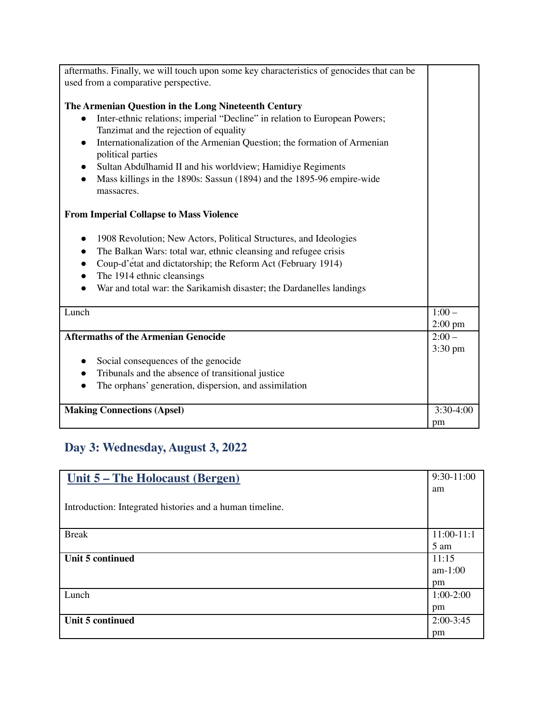| aftermaths. Finally, we will touch upon some key characteristics of genocides that can be<br>used from a comparative perspective.<br>The Armenian Question in the Long Nineteenth Century<br>Inter-ethnic relations; imperial "Decline" in relation to European Powers;<br>$\bullet$<br>Tanzimat and the rejection of equality<br>Internationalization of the Armenian Question; the formation of Armenian<br>$\bullet$<br>political parties<br>Sultan Abdulhamid II and his worldview; Hamidiye Regiments<br>$\bullet$<br>Mass killings in the 1890s: Sassun (1894) and the 1895-96 empire-wide<br>$\bullet$<br>massacres. |                              |
|-----------------------------------------------------------------------------------------------------------------------------------------------------------------------------------------------------------------------------------------------------------------------------------------------------------------------------------------------------------------------------------------------------------------------------------------------------------------------------------------------------------------------------------------------------------------------------------------------------------------------------|------------------------------|
| <b>From Imperial Collapse to Mass Violence</b>                                                                                                                                                                                                                                                                                                                                                                                                                                                                                                                                                                              |                              |
| 1908 Revolution; New Actors, Political Structures, and Ideologies<br>$\bullet$<br>The Balkan Wars: total war, ethnic cleansing and refugee crisis<br>$\bullet$<br>Coup-d'état and dictatorship; the Reform Act (February 1914)<br>The 1914 ethnic cleansings<br>War and total war: the Sarikamish disaster; the Dardanelles landings                                                                                                                                                                                                                                                                                        |                              |
| Lunch                                                                                                                                                                                                                                                                                                                                                                                                                                                                                                                                                                                                                       | $1:00-$<br>$2:00$ pm         |
| <b>Aftermaths of the Armenian Genocide</b>                                                                                                                                                                                                                                                                                                                                                                                                                                                                                                                                                                                  | $2:00-$<br>$3:30 \text{ pm}$ |
| Social consequences of the genocide<br>Tribunals and the absence of transitional justice<br>$\bullet$<br>The orphans' generation, dispersion, and assimilation                                                                                                                                                                                                                                                                                                                                                                                                                                                              |                              |
| <b>Making Connections (Apsel)</b>                                                                                                                                                                                                                                                                                                                                                                                                                                                                                                                                                                                           | 3:30-4:00<br>pm              |

## **Day 3: Wednesday, August 3, 2022**

| <u> Unit 5 – The Holocaust (Bergen)</u>                  | 9:30-11:00   |
|----------------------------------------------------------|--------------|
|                                                          | am           |
| Introduction: Integrated histories and a human timeline. |              |
|                                                          |              |
| <b>Break</b>                                             | $11:00-11:1$ |
|                                                          | 5 am         |
| Unit 5 continued                                         | 11:15        |
|                                                          | $am-1:00$    |
|                                                          | pm           |
| Lunch                                                    | $1:00-2:00$  |
|                                                          | pm           |
| Unit 5 continued                                         | $2:00-3:45$  |
|                                                          | pm           |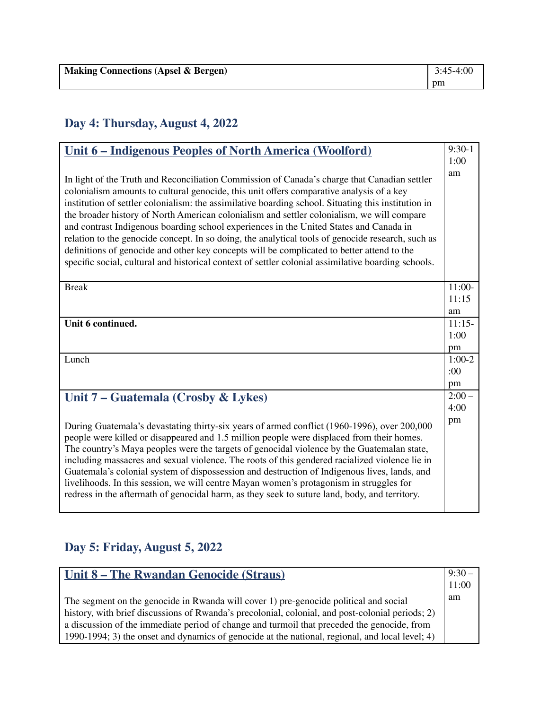| <b>Making Connections (Apsel &amp; Bergen)</b> | $\mid$ 3:45-4:00 |
|------------------------------------------------|------------------|
|                                                | pm               |

# **Day 4: Thursday, August 4, 2022**

| <u><b>Unit 6 – Indigenous Peoples of North America (Woolford)</b></u>                                                                                                                                                                                                                                                                                                                                                                                                                                                                                                                                                                                                                                                                                                                             | $9:30-1$      |
|---------------------------------------------------------------------------------------------------------------------------------------------------------------------------------------------------------------------------------------------------------------------------------------------------------------------------------------------------------------------------------------------------------------------------------------------------------------------------------------------------------------------------------------------------------------------------------------------------------------------------------------------------------------------------------------------------------------------------------------------------------------------------------------------------|---------------|
|                                                                                                                                                                                                                                                                                                                                                                                                                                                                                                                                                                                                                                                                                                                                                                                                   | 1:00          |
| In light of the Truth and Reconciliation Commission of Canada's charge that Canadian settler<br>colonialism amounts to cultural genocide, this unit offers comparative analysis of a key<br>institution of settler colonialism: the assimilative boarding school. Situating this institution in<br>the broader history of North American colonialism and settler colonialism, we will compare<br>and contrast Indigenous boarding school experiences in the United States and Canada in<br>relation to the genocide concept. In so doing, the analytical tools of genocide research, such as<br>definitions of genocide and other key concepts will be complicated to better attend to the<br>specific social, cultural and historical context of settler colonial assimilative boarding schools. | am            |
| <b>Break</b>                                                                                                                                                                                                                                                                                                                                                                                                                                                                                                                                                                                                                                                                                                                                                                                      | $11:00-$      |
|                                                                                                                                                                                                                                                                                                                                                                                                                                                                                                                                                                                                                                                                                                                                                                                                   | 11:15         |
|                                                                                                                                                                                                                                                                                                                                                                                                                                                                                                                                                                                                                                                                                                                                                                                                   | am            |
| Unit 6 continued.                                                                                                                                                                                                                                                                                                                                                                                                                                                                                                                                                                                                                                                                                                                                                                                 | $11:15-$      |
|                                                                                                                                                                                                                                                                                                                                                                                                                                                                                                                                                                                                                                                                                                                                                                                                   | 1:00          |
|                                                                                                                                                                                                                                                                                                                                                                                                                                                                                                                                                                                                                                                                                                                                                                                                   | pm            |
| Lunch                                                                                                                                                                                                                                                                                                                                                                                                                                                                                                                                                                                                                                                                                                                                                                                             | $1:00-2$      |
|                                                                                                                                                                                                                                                                                                                                                                                                                                                                                                                                                                                                                                                                                                                                                                                                   | :00           |
|                                                                                                                                                                                                                                                                                                                                                                                                                                                                                                                                                                                                                                                                                                                                                                                                   | pm<br>$2:00-$ |
| Unit $7$ – Guatemala (Crosby & Lykes)                                                                                                                                                                                                                                                                                                                                                                                                                                                                                                                                                                                                                                                                                                                                                             | 4:00          |
| During Guatemala's devastating thirty-six years of armed conflict (1960-1996), over 200,000<br>people were killed or disappeared and 1.5 million people were displaced from their homes.<br>The country's Maya peoples were the targets of genocidal violence by the Guatemalan state,<br>including massacres and sexual violence. The roots of this gendered racialized violence lie in<br>Guatemala's colonial system of dispossession and destruction of Indigenous lives, lands, and<br>livelihoods. In this session, we will centre Mayan women's protagonism in struggles for<br>redress in the aftermath of genocidal harm, as they seek to suture land, body, and territory.                                                                                                              | pm            |

### **Day 5: Friday, August 5, 2022**

| <u>Unit 8 – The Rwandan Genocide (Straus)</u>                                                                                                                                             | $9:30-$ |
|-------------------------------------------------------------------------------------------------------------------------------------------------------------------------------------------|---------|
|                                                                                                                                                                                           | 11:00   |
| The segment on the genocide in Rwanda will cover 1) pre-genocide political and social<br>history, with brief discussions of Rwanda's precolonial, colonial, and post-colonial periods; 2) | am      |
| a discussion of the immediate period of change and turmoil that preceded the genocide, from                                                                                               |         |
| 1990-1994; 3) the onset and dynamics of genocide at the national, regional, and local level; 4)                                                                                           |         |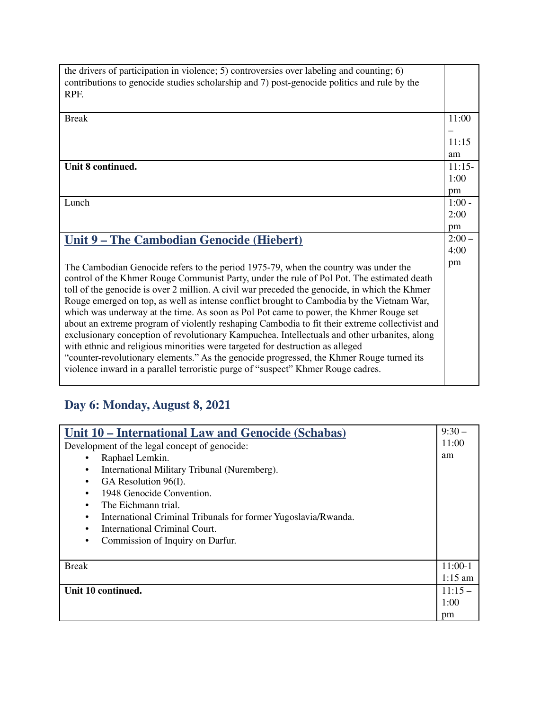| the drivers of participation in violence; 5) controversies over labeling and counting; 6)<br>contributions to genocide studies scholarship and 7) post-genocide politics and rule by the<br>RPF. |          |
|--------------------------------------------------------------------------------------------------------------------------------------------------------------------------------------------------|----------|
| <b>Break</b>                                                                                                                                                                                     | 11:00    |
|                                                                                                                                                                                                  |          |
|                                                                                                                                                                                                  | 11:15    |
|                                                                                                                                                                                                  | am       |
| Unit 8 continued.                                                                                                                                                                                | $11:15-$ |
|                                                                                                                                                                                                  | 1:00     |
|                                                                                                                                                                                                  | pm       |
| Lunch                                                                                                                                                                                            | $1:00 -$ |
|                                                                                                                                                                                                  | 2:00     |
|                                                                                                                                                                                                  | pm       |
| <u><b>Unit 9 – The Cambodian Genocide (Hiebert)</b></u>                                                                                                                                          | $2:00-$  |
|                                                                                                                                                                                                  | 4:00     |
| The Cambodian Genocide refers to the period 1975-79, when the country was under the                                                                                                              | pm       |
| control of the Khmer Rouge Communist Party, under the rule of Pol Pot. The estimated death                                                                                                       |          |
| toll of the genocide is over 2 million. A civil war preceded the genocide, in which the Khmer                                                                                                    |          |
| Rouge emerged on top, as well as intense conflict brought to Cambodia by the Vietnam War,                                                                                                        |          |
| which was underway at the time. As soon as Pol Pot came to power, the Khmer Rouge set                                                                                                            |          |
| about an extreme program of violently reshaping Cambodia to fit their extreme collectivist and                                                                                                   |          |
| exclusionary conception of revolutionary Kampuchea. Intellectuals and other urbanites, along                                                                                                     |          |
| with ethnic and religious minorities were targeted for destruction as alleged                                                                                                                    |          |
| "counter-revolutionary elements." As the genocide progressed, the Khmer Rouge turned its                                                                                                         |          |
| violence inward in a parallel terroristic purge of "suspect" Khmer Rouge cadres.                                                                                                                 |          |
|                                                                                                                                                                                                  |          |

## **Day 6: Monday, August 8, 2021**

| Unit 10 – International Law and Genocide (Schabas)             | $9:30-$   |
|----------------------------------------------------------------|-----------|
| Development of the legal concept of genocide:                  | 11:00     |
| Raphael Lemkin.                                                | am        |
| International Military Tribunal (Nuremberg).                   |           |
| GA Resolution 96(I).                                           |           |
| 1948 Genocide Convention.<br>$\bullet$                         |           |
| The Eichmann trial.<br>$\bullet$                               |           |
| International Criminal Tribunals for former Yugoslavia/Rwanda. |           |
| International Criminal Court.                                  |           |
| Commission of Inquiry on Darfur.                               |           |
|                                                                |           |
| <b>Break</b>                                                   | $11:00-1$ |
|                                                                | $1:15$ am |
| Unit 10 continued.                                             | $11:15-$  |
|                                                                | 1:00      |
|                                                                | pm        |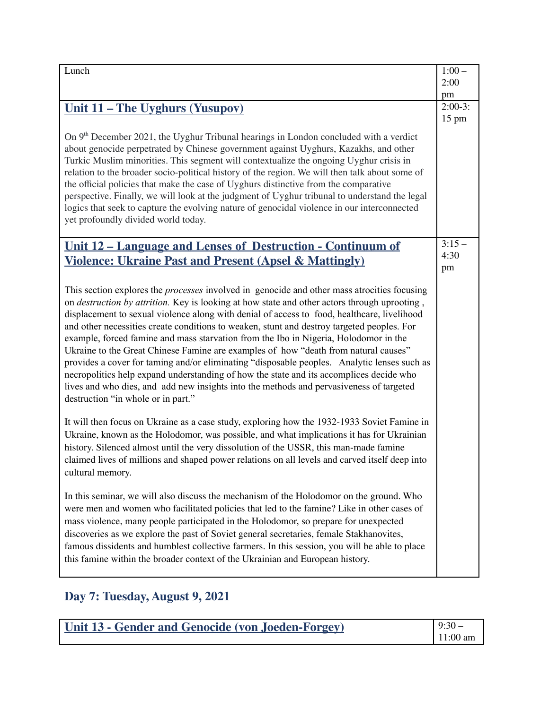| Lunch                                                                                                                                                                                                                                                                                                                                                                                                                                                                                                                                                                                                                                                                                                                                                                                                                                                                                                     | $1:00 -$<br>2:00<br>pm       |
|-----------------------------------------------------------------------------------------------------------------------------------------------------------------------------------------------------------------------------------------------------------------------------------------------------------------------------------------------------------------------------------------------------------------------------------------------------------------------------------------------------------------------------------------------------------------------------------------------------------------------------------------------------------------------------------------------------------------------------------------------------------------------------------------------------------------------------------------------------------------------------------------------------------|------------------------------|
| <u><b>Unit 11 – The Uyghurs (Yusupov)</b></u>                                                                                                                                                                                                                                                                                                                                                                                                                                                                                                                                                                                                                                                                                                                                                                                                                                                             | $2:00-3:$<br>$15 \text{ pm}$ |
| On 9 <sup>th</sup> December 2021, the Uyghur Tribunal hearings in London concluded with a verdict<br>about genocide perpetrated by Chinese government against Uyghurs, Kazakhs, and other<br>Turkic Muslim minorities. This segment will contextualize the ongoing Uyghur crisis in<br>relation to the broader socio-political history of the region. We will then talk about some of<br>the official policies that make the case of Uyghurs distinctive from the comparative<br>perspective. Finally, we will look at the judgment of Uyghur tribunal to understand the legal<br>logics that seek to capture the evolving nature of genocidal violence in our interconnected<br>yet profoundly divided world today.                                                                                                                                                                                      |                              |
| <u><b>Unit 12 – Language and Lenses of Destruction - Continuum of</b></u><br><b>Violence: Ukraine Past and Present (Apsel &amp; Mattingly)</b>                                                                                                                                                                                                                                                                                                                                                                                                                                                                                                                                                                                                                                                                                                                                                            | $3:15-$<br>4:30<br>pm        |
| This section explores the <i>processes</i> involved in genocide and other mass atrocities focusing<br>on destruction by attrition. Key is looking at how state and other actors through uprooting,<br>displacement to sexual violence along with denial of access to food, healthcare, livelihood<br>and other necessities create conditions to weaken, stunt and destroy targeted peoples. For<br>example, forced famine and mass starvation from the Ibo in Nigeria, Holodomor in the<br>Ukraine to the Great Chinese Famine are examples of how "death from natural causes"<br>provides a cover for taming and/or eliminating "disposable peoples. Analytic lenses such as<br>necropolitics help expand understanding of how the state and its accomplices decide who<br>lives and who dies, and add new insights into the methods and pervasiveness of targeted<br>destruction "in whole or in part." |                              |
| It will then focus on Ukraine as a case study, exploring how the 1932-1933 Soviet Famine in<br>Ukraine, known as the Holodomor, was possible, and what implications it has for Ukrainian<br>history. Silenced almost until the very dissolution of the USSR, this man-made famine<br>claimed lives of millions and shaped power relations on all levels and carved itself deep into<br>cultural memory.                                                                                                                                                                                                                                                                                                                                                                                                                                                                                                   |                              |
| In this seminar, we will also discuss the mechanism of the Holodomor on the ground. Who<br>were men and women who facilitated policies that led to the famine? Like in other cases of<br>mass violence, many people participated in the Holodomor, so prepare for unexpected<br>discoveries as we explore the past of Soviet general secretaries, female Stakhanovites,<br>famous dissidents and humblest collective farmers. In this session, you will be able to place<br>this famine within the broader context of the Ukrainian and European history.                                                                                                                                                                                                                                                                                                                                                 |                              |

## **Day 7: Tuesday, August 9, 2021**

| $9.30 -$<br>Unit 13 - Gender and Genocide (von Joeden-Forgey)<br>$11:00$ am |
|-----------------------------------------------------------------------------|
|-----------------------------------------------------------------------------|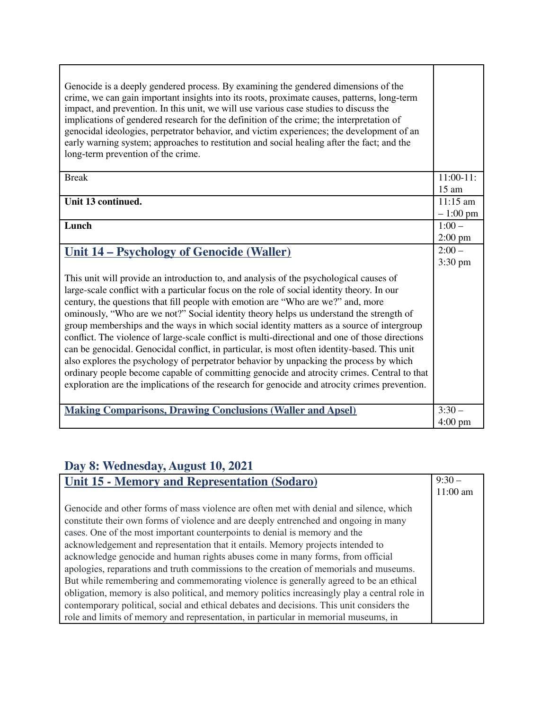| $11:00-11$ :<br><b>Break</b><br>$15 \text{ am}$<br>Unit 13 continued.<br>$11:15 \text{ am}$                                                                                                 |
|---------------------------------------------------------------------------------------------------------------------------------------------------------------------------------------------|
|                                                                                                                                                                                             |
|                                                                                                                                                                                             |
|                                                                                                                                                                                             |
| $-1:00 \text{ pm}$                                                                                                                                                                          |
| Lunch<br>$1:00-$                                                                                                                                                                            |
| $2:00 \text{ pm}$                                                                                                                                                                           |
| $2:00-$<br>Unit 14 – Psychology of Genocide (Waller)<br>$3:30 \text{ pm}$                                                                                                                   |
|                                                                                                                                                                                             |
| This unit will provide an introduction to, and analysis of the psychological causes of                                                                                                      |
| large-scale conflict with a particular focus on the role of social identity theory. In our                                                                                                  |
| century, the questions that fill people with emotion are "Who are we?" and, more                                                                                                            |
| ominously, "Who are we not?" Social identity theory helps us understand the strength of                                                                                                     |
| group memberships and the ways in which social identity matters as a source of intergroup                                                                                                   |
| conflict. The violence of large-scale conflict is multi-directional and one of those directions                                                                                             |
| can be genocidal. Genocidal conflict, in particular, is most often identity-based. This unit                                                                                                |
| also explores the psychology of perpetrator behavior by unpacking the process by which                                                                                                      |
| ordinary people become capable of committing genocide and atrocity crimes. Central to that<br>exploration are the implications of the research for genocide and atrocity crimes prevention. |
|                                                                                                                                                                                             |
| $3:30-$<br><b>Making Comparisons, Drawing Conclusions (Waller and Apsel)</b>                                                                                                                |
| $4:00 \text{ pm}$                                                                                                                                                                           |

## **Day 8: Wednesday, August 10, 2021**

| Unit 15 - Memory and Representation (Sodaro)                                                                                                                                                                                                                                                                                                                                                                                                                                                                                                                                                                                                                                                                                                                                                                                                                                                              |            |
|-----------------------------------------------------------------------------------------------------------------------------------------------------------------------------------------------------------------------------------------------------------------------------------------------------------------------------------------------------------------------------------------------------------------------------------------------------------------------------------------------------------------------------------------------------------------------------------------------------------------------------------------------------------------------------------------------------------------------------------------------------------------------------------------------------------------------------------------------------------------------------------------------------------|------------|
|                                                                                                                                                                                                                                                                                                                                                                                                                                                                                                                                                                                                                                                                                                                                                                                                                                                                                                           | $11:00$ am |
| Genocide and other forms of mass violence are often met with denial and silence, which<br>constitute their own forms of violence and are deeply entrenched and ongoing in many<br>cases. One of the most important counterpoints to denial is memory and the<br>acknowledgement and representation that it entails. Memory projects intended to<br>acknowledge genocide and human rights abuses come in many forms, from official<br>apologies, reparations and truth commissions to the creation of memorials and museums.<br>But while remembering and commemorating violence is generally agreed to be an ethical<br>obligation, memory is also political, and memory politics increasingly play a central role in<br>contemporary political, social and ethical debates and decisions. This unit considers the<br>role and limits of memory and representation, in particular in memorial museums, in |            |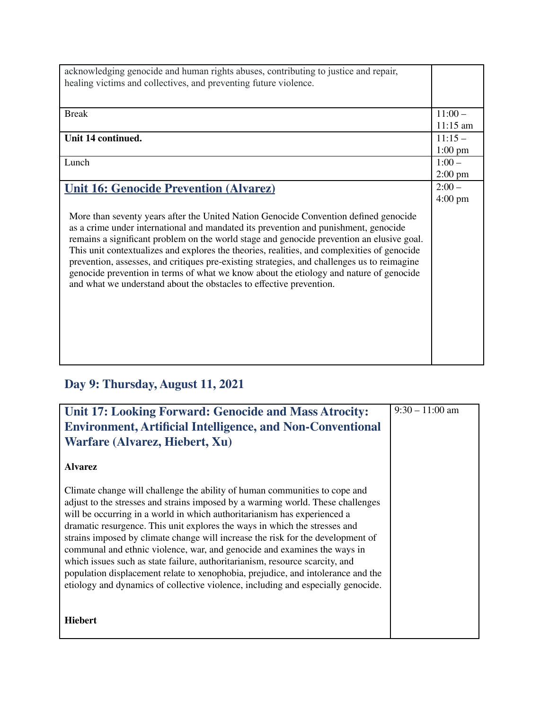| acknowledging genocide and human rights abuses, contributing to justice and repair,<br>healing victims and collectives, and preventing future violence.                                                                                                                                                                                                                                                                                                                                                                                                                                                                                 |                               |
|-----------------------------------------------------------------------------------------------------------------------------------------------------------------------------------------------------------------------------------------------------------------------------------------------------------------------------------------------------------------------------------------------------------------------------------------------------------------------------------------------------------------------------------------------------------------------------------------------------------------------------------------|-------------------------------|
| <b>Break</b>                                                                                                                                                                                                                                                                                                                                                                                                                                                                                                                                                                                                                            | $11:00 -$<br>$11:15$ am       |
| Unit 14 continued.                                                                                                                                                                                                                                                                                                                                                                                                                                                                                                                                                                                                                      | $11:15-$<br>$1:00$ pm         |
| Lunch                                                                                                                                                                                                                                                                                                                                                                                                                                                                                                                                                                                                                                   | $1:00 -$<br>$2:00 \text{ pm}$ |
| <b>Unit 16: Genocide Prevention (Alvarez)</b>                                                                                                                                                                                                                                                                                                                                                                                                                                                                                                                                                                                           | $2:00-$<br>$4:00 \text{ pm}$  |
| More than seventy years after the United Nation Genocide Convention defined genocide<br>as a crime under international and mandated its prevention and punishment, genocide<br>remains a significant problem on the world stage and genocide prevention an elusive goal.<br>This unit contextualizes and explores the theories, realities, and complexities of genocide<br>prevention, assesses, and critiques pre-existing strategies, and challenges us to reimagine<br>genocide prevention in terms of what we know about the etiology and nature of genocide<br>and what we understand about the obstacles to effective prevention. |                               |

## **Day 9: Thursday, August 11, 2021**

| Unit 17: Looking Forward: Genocide and Mass Atrocity:                                                                                                                                                                                                                                                                                                                                                                                                                                                                                                                                                                                                                                                                                          | $9:30 - 11:00$ am |
|------------------------------------------------------------------------------------------------------------------------------------------------------------------------------------------------------------------------------------------------------------------------------------------------------------------------------------------------------------------------------------------------------------------------------------------------------------------------------------------------------------------------------------------------------------------------------------------------------------------------------------------------------------------------------------------------------------------------------------------------|-------------------|
| <b>Environment, Artificial Intelligence, and Non-Conventional</b>                                                                                                                                                                                                                                                                                                                                                                                                                                                                                                                                                                                                                                                                              |                   |
| Warfare (Alvarez, Hiebert, Xu)                                                                                                                                                                                                                                                                                                                                                                                                                                                                                                                                                                                                                                                                                                                 |                   |
| <b>Alvarez</b>                                                                                                                                                                                                                                                                                                                                                                                                                                                                                                                                                                                                                                                                                                                                 |                   |
| Climate change will challenge the ability of human communities to cope and<br>adjust to the stresses and strains imposed by a warming world. These challenges<br>will be occurring in a world in which authoritarianism has experienced a<br>dramatic resurgence. This unit explores the ways in which the stresses and<br>strains imposed by climate change will increase the risk for the development of<br>communal and ethnic violence, war, and genocide and examines the ways in<br>which issues such as state failure, authoritarianism, resource scarcity, and<br>population displacement relate to xenophobia, prejudice, and intolerance and the<br>etiology and dynamics of collective violence, including and especially genocide. |                   |
| <b>Hiebert</b>                                                                                                                                                                                                                                                                                                                                                                                                                                                                                                                                                                                                                                                                                                                                 |                   |